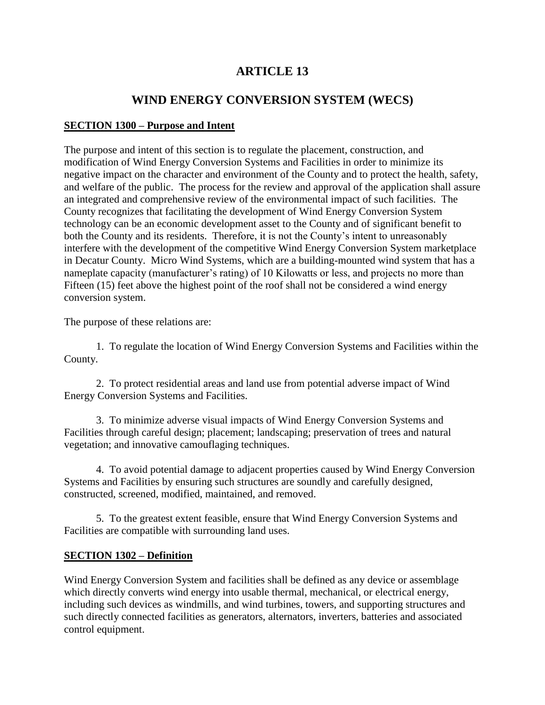# **ARTICLE 13**

## **WIND ENERGY CONVERSION SYSTEM (WECS)**

### **SECTION 1300 – Purpose and Intent**

The purpose and intent of this section is to regulate the placement, construction, and modification of Wind Energy Conversion Systems and Facilities in order to minimize its negative impact on the character and environment of the County and to protect the health, safety, and welfare of the public. The process for the review and approval of the application shall assure an integrated and comprehensive review of the environmental impact of such facilities. The County recognizes that facilitating the development of Wind Energy Conversion System technology can be an economic development asset to the County and of significant benefit to both the County and its residents. Therefore, it is not the County's intent to unreasonably interfere with the development of the competitive Wind Energy Conversion System marketplace in Decatur County. Micro Wind Systems, which are a building-mounted wind system that has a nameplate capacity (manufacturer's rating) of 10 Kilowatts or less, and projects no more than Fifteen (15) feet above the highest point of the roof shall not be considered a wind energy conversion system.

The purpose of these relations are:

1. To regulate the location of Wind Energy Conversion Systems and Facilities within the County.

2. To protect residential areas and land use from potential adverse impact of Wind Energy Conversion Systems and Facilities.

3. To minimize adverse visual impacts of Wind Energy Conversion Systems and Facilities through careful design; placement; landscaping; preservation of trees and natural vegetation; and innovative camouflaging techniques.

4. To avoid potential damage to adjacent properties caused by Wind Energy Conversion Systems and Facilities by ensuring such structures are soundly and carefully designed, constructed, screened, modified, maintained, and removed.

5. To the greatest extent feasible, ensure that Wind Energy Conversion Systems and Facilities are compatible with surrounding land uses.

#### **SECTION 1302 – Definition**

Wind Energy Conversion System and facilities shall be defined as any device or assemblage which directly converts wind energy into usable thermal, mechanical, or electrical energy, including such devices as windmills, and wind turbines, towers, and supporting structures and such directly connected facilities as generators, alternators, inverters, batteries and associated control equipment.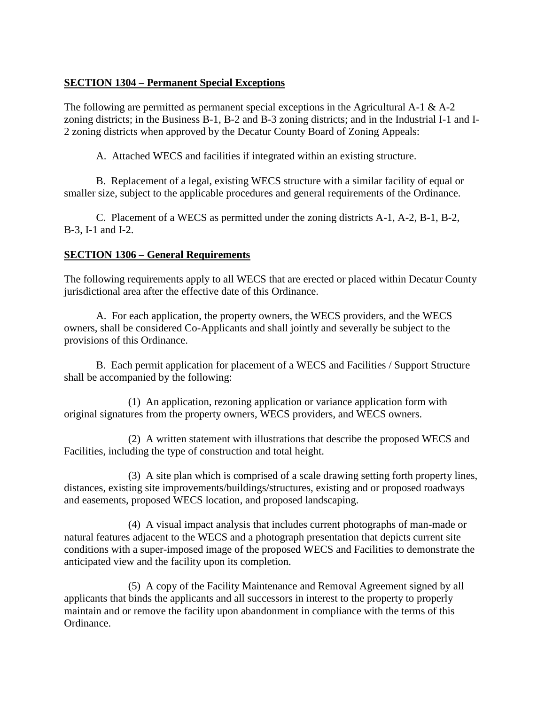### **SECTION 1304 – Permanent Special Exceptions**

The following are permitted as permanent special exceptions in the Agricultural A-1 & A-2 zoning districts; in the Business B-1, B-2 and B-3 zoning districts; and in the Industrial I-1 and I-2 zoning districts when approved by the Decatur County Board of Zoning Appeals:

A. Attached WECS and facilities if integrated within an existing structure.

B. Replacement of a legal, existing WECS structure with a similar facility of equal or smaller size, subject to the applicable procedures and general requirements of the Ordinance.

C. Placement of a WECS as permitted under the zoning districts A-1, A-2, B-1, B-2, B-3, I-1 and I-2.

## **SECTION 1306 – General Requirements**

The following requirements apply to all WECS that are erected or placed within Decatur County jurisdictional area after the effective date of this Ordinance.

A. For each application, the property owners, the WECS providers, and the WECS owners, shall be considered Co-Applicants and shall jointly and severally be subject to the provisions of this Ordinance.

B. Each permit application for placement of a WECS and Facilities / Support Structure shall be accompanied by the following:

(1) An application, rezoning application or variance application form with original signatures from the property owners, WECS providers, and WECS owners.

(2) A written statement with illustrations that describe the proposed WECS and Facilities, including the type of construction and total height.

(3) A site plan which is comprised of a scale drawing setting forth property lines, distances, existing site improvements/buildings/structures, existing and or proposed roadways and easements, proposed WECS location, and proposed landscaping.

(4) A visual impact analysis that includes current photographs of man-made or natural features adjacent to the WECS and a photograph presentation that depicts current site conditions with a super-imposed image of the proposed WECS and Facilities to demonstrate the anticipated view and the facility upon its completion.

(5) A copy of the Facility Maintenance and Removal Agreement signed by all applicants that binds the applicants and all successors in interest to the property to properly maintain and or remove the facility upon abandonment in compliance with the terms of this Ordinance.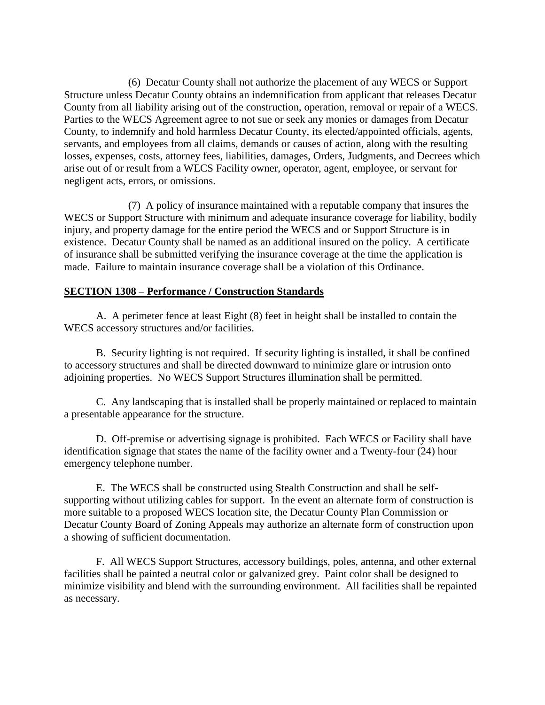(6) Decatur County shall not authorize the placement of any WECS or Support Structure unless Decatur County obtains an indemnification from applicant that releases Decatur County from all liability arising out of the construction, operation, removal or repair of a WECS. Parties to the WECS Agreement agree to not sue or seek any monies or damages from Decatur County, to indemnify and hold harmless Decatur County, its elected/appointed officials, agents, servants, and employees from all claims, demands or causes of action, along with the resulting losses, expenses, costs, attorney fees, liabilities, damages, Orders, Judgments, and Decrees which arise out of or result from a WECS Facility owner, operator, agent, employee, or servant for negligent acts, errors, or omissions.

(7) A policy of insurance maintained with a reputable company that insures the WECS or Support Structure with minimum and adequate insurance coverage for liability, bodily injury, and property damage for the entire period the WECS and or Support Structure is in existence. Decatur County shall be named as an additional insured on the policy. A certificate of insurance shall be submitted verifying the insurance coverage at the time the application is made. Failure to maintain insurance coverage shall be a violation of this Ordinance.

#### **SECTION 1308 – Performance / Construction Standards**

A. A perimeter fence at least Eight (8) feet in height shall be installed to contain the WECS accessory structures and/or facilities.

B. Security lighting is not required. If security lighting is installed, it shall be confined to accessory structures and shall be directed downward to minimize glare or intrusion onto adjoining properties. No WECS Support Structures illumination shall be permitted.

C. Any landscaping that is installed shall be properly maintained or replaced to maintain a presentable appearance for the structure.

D. Off-premise or advertising signage is prohibited. Each WECS or Facility shall have identification signage that states the name of the facility owner and a Twenty-four (24) hour emergency telephone number.

E. The WECS shall be constructed using Stealth Construction and shall be selfsupporting without utilizing cables for support. In the event an alternate form of construction is more suitable to a proposed WECS location site, the Decatur County Plan Commission or Decatur County Board of Zoning Appeals may authorize an alternate form of construction upon a showing of sufficient documentation.

F. All WECS Support Structures, accessory buildings, poles, antenna, and other external facilities shall be painted a neutral color or galvanized grey. Paint color shall be designed to minimize visibility and blend with the surrounding environment. All facilities shall be repainted as necessary.